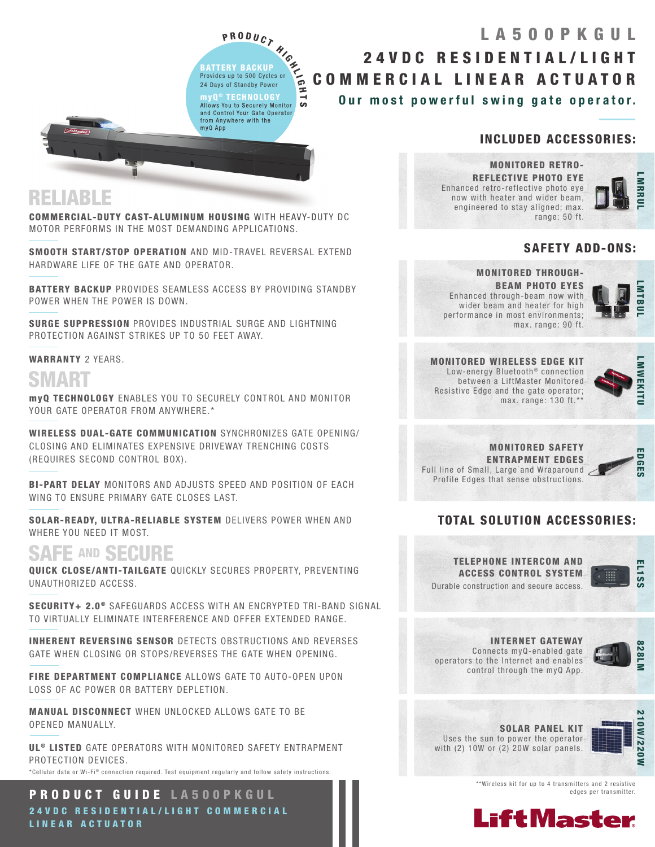P R O D U C T H IGHT BATTERY BACKUP Provides up to 500 Cycles or 24 Days of Standby Power myQ ® TECHNOLOGY Allows You to Securely Monitor and Control Your Gate Operator my

from Anywhere with the

myQ App

ದ

## Our most powerful swing gate operator. 24VDC RESIDENTIAL/LIGHT COMMERCIAL LINEAR ACTUATOR LA500PKGUL

### INCLUDED ACCESSORIES:

MONITORED RETRO-REFLECTIVE PHOTO EYE Enhanced retro-reflective photo eye now with heater and wider beam, engineered to stay aligned; max. range: 50 ft.



#### SAFETY ADD-ONS:

#### MONITORED THROUGH-

BEAM PHOTO EYES Enhanced through-beam now with wider beam and heater for high performance in most environments; max. range: 90 ft.



MONITORED WIRELESS EDGE KIT Low-energy Bluetooth<sup>®</sup> connection between a LiftMaster Monitored Resistive Edge and the gate operator; max. range: 130 ft.\*\*



MONITORED SAFETY ENTRAPMENT EDGES Full line of Small, Large and Wraparound Profile Edges that sense obstructions.



### TOTAL SOLUTION ACCESSORIES:





INTERNET GATEWAY Connects myQ-enabled gate operators to the Internet and enables control through the myQ App.



SOLAR PANEL KIT Uses the sun to power the operator with (2) 10W or (2) 20W solar panels.



\*\*Wireless kit for up to 4 transmitters and 2 resistive edges per transmitter.



## RELIABLE

COMMERCIAL-DUTY CAST-ALUMINUM HOUSING WITH HEAVY-DUTY DC MOTOR PERFORMS IN THE MOST DEMANDING APPLICATIONS.

m

SMOOTH START/STOP OPERATION AND MID-TRAVEL REVERSAL EXTEND HARDWARE LIFE OF THE GATE AND OPERATOR.

BATTERY BACKUP PROVIDES SEAMLESS ACCESS BY PROVIDING STANDBY POWER WHEN THE POWER IS DOWN.

SURGE SUPPRESSION PROVIDES INDUSTRIAL SURGE AND LIGHTNING PROTECTION AGAINST STRIKES UP TO 50 FEET AWAY.

#### WARRANTY 2 YEARS.

# SMART

myQ TECHNOLOGY ENABLES YOU TO SECURELY CONTROL AND MONITOR YOUR GATE OPERATOR FROM ANYWHERE.\*

WIRELESS DUAL-GATE COMMUNICATION SYNCHRONIZES GATE OPENING/ CLOSING AND ELIMINATES EXPENSIVE DRIVEWAY TRENCHING COSTS (REQUIRES SECOND CONTROL BOX).

BI-PART DELAY MONITORS AND ADJUSTS SPEED AND POSITION OF EACH WING TO ENSURE PRIMARY GATE CLOSES LAST.

SOLAR-READY, ULTRA-RELIABLE SYSTEM DELIVERS POWER WHEN AND WHERE YOU NEED IT MOST.

## SAFE AND SECURE

QUICK CLOSE/ANTI-TAILGATE QUICKLY SECURES PROPERTY, PREVENTING UNAUTHORIZED ACCESS.

SECURITY+ 2.0<sup>®</sup> SAFEGUARDS ACCESS WITH AN ENCRYPTED TRI-BAND SIGNAL TO VIRTUALLY ELIMINATE INTERFERENCE AND OFFER EXTENDED RANGE.

INHERENT REVERSING SENSOR DETECTS OBSTRUCTIONS AND REVERSES GATE WHEN CLOSING OR STOPS/REVERSES THE GATE WHEN OPENING.

FIRE DEPARTMENT COMPLIANCE ALLOWS GATE TO AUTO-OPEN UPON LOSS OF AC POWER OR BATTERY DEPLETION.

MANUAL DISCONNECT WHEN UNLOCKED ALLOWS GATE TO BE OPENED MANUALLY.

UL<sup>®</sup> LISTED GATE OPERATORS WITH MONITORED SAFETY ENTRAPMENT PROTECTION DEVICES.

\*Cellular data or Wi-Fi® connection required. Test equipment requiarly and follow safety instructions.

PRODUCT GUIDE LA500PKGUL 24 V D C RESIDENTIAL/LIGHT COMMERCIAL LINEAR ACTUATOR